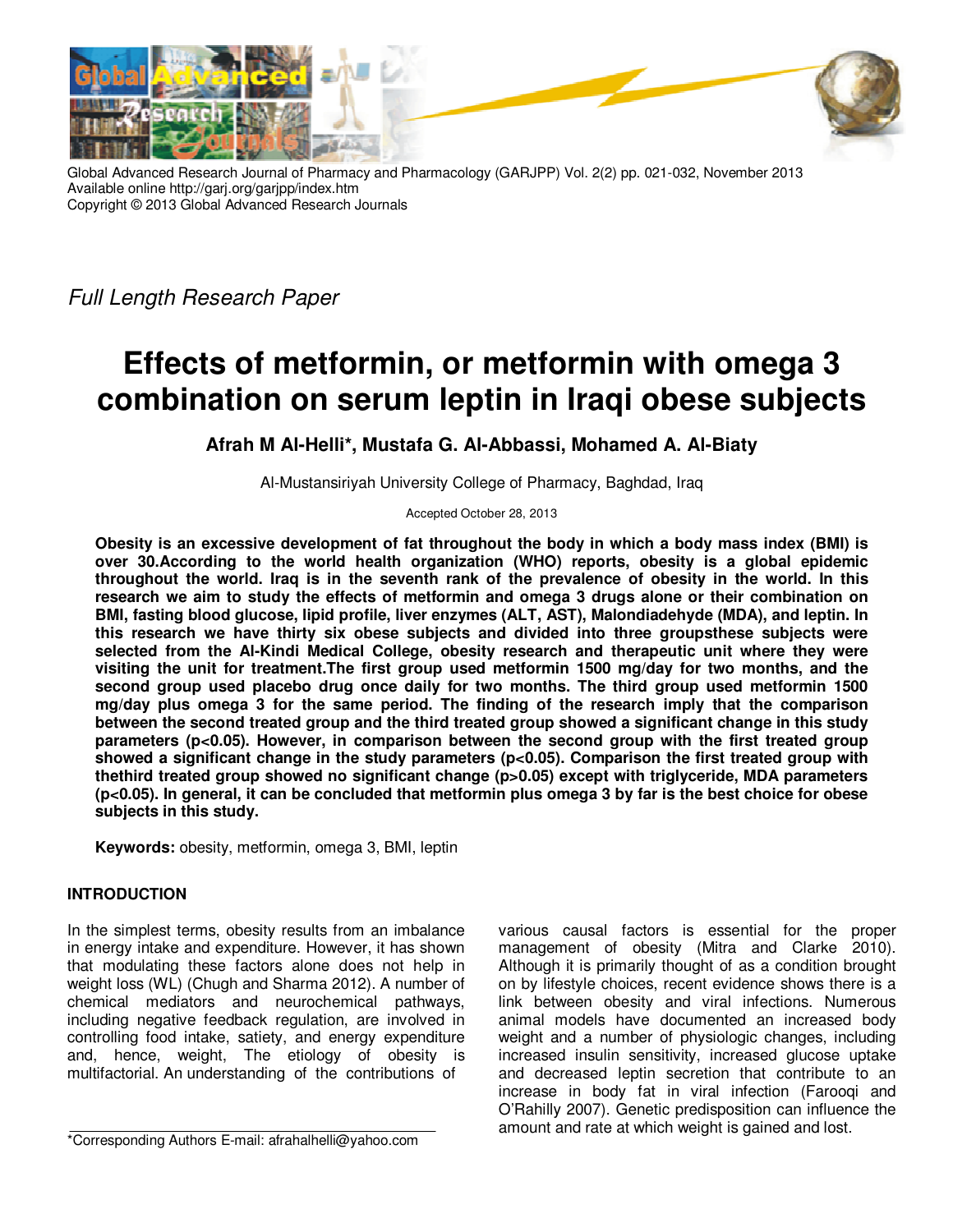

Global Advanced Research Journal of Pharmacy and Pharmacology (GARJPP) Vol. 2(2) pp. 021-032, November 2013 Available online http://garj.org/garjpp/index.htm Copyright © 2013 Global Advanced Research Journals

Full Length Research Paper

# **Effects of metformin, or metformin with omega 3 combination on serum leptin in Iraqi obese subjects**

## **Afrah M Al-Helli\*, Mustafa G. Al-Abbassi, Mohamed A. Al-Biaty**

Al-Mustansiriyah University College of Pharmacy, Baghdad, Iraq

Accepted October 28, 2013

**Obesity is an excessive development of fat throughout the body in which a body mass index (BMI) is over 30.According to the world health organization (WHO) reports, obesity is a global epidemic throughout the world. Iraq is in the seventh rank of the prevalence of obesity in the world. In this research we aim to study the effects of metformin and omega 3 drugs alone or their combination on BMI, fasting blood glucose, lipid profile, liver enzymes (ALT, AST), Malondiadehyde (MDA), and leptin. In this research we have thirty six obese subjects and divided into three groupsthese subjects were selected from the Al-Kindi Medical College, obesity research and therapeutic unit where they were visiting the unit for treatment.The first group used metformin 1500 mg/day for two months, and the second group used placebo drug once daily for two months. The third group used metformin 1500 mg/day plus omega 3 for the same period. The finding of the research imply that the comparison between the second treated group and the third treated group showed a significant change in this study parameters (p<0.05). However, in comparison between the second group with the first treated group**  showed a significant change in the study parameters (p<0.05). Comparison the first treated group with **thethird treated group showed no significant change (p>0.05) except with triglyceride, MDA parameters (p<0.05). In general, it can be concluded that metformin plus omega 3 by far is the best choice for obese subjects in this study.**

**Keywords:** obesity, metformin, omega 3, BMI, leptin

## **INTRODUCTION**

In the simplest terms, obesity results from an imbalance in energy intake and expenditure. However, it has shown that modulating these factors alone does not help in weight loss (WL) (Chugh and Sharma 2012). A number of chemical mediators and neurochemical pathways, including negative feedback regulation, are involved in controlling food intake, satiety, and energy expenditure and, hence, weight, The etiology of obesity is multifactorial. An understanding of the contributions of

various causal factors is essential for the proper management of obesity (Mitra and Clarke 2010). Although it is primarily thought of as a condition brought on by lifestyle choices, recent evidence shows there is a link between obesity and viral infections. Numerous animal models have documented an increased body weight and a number of physiologic changes, including increased insulin sensitivity, increased glucose uptake and decreased leptin secretion that contribute to an increase in body fat in viral infection (Farooqi and O'Rahilly 2007). Genetic predisposition can influence the amount and rate at which weight is gained and lost.

<sup>\*</sup>Corresponding Authors E-mail: afrahalhelli@yahoo.com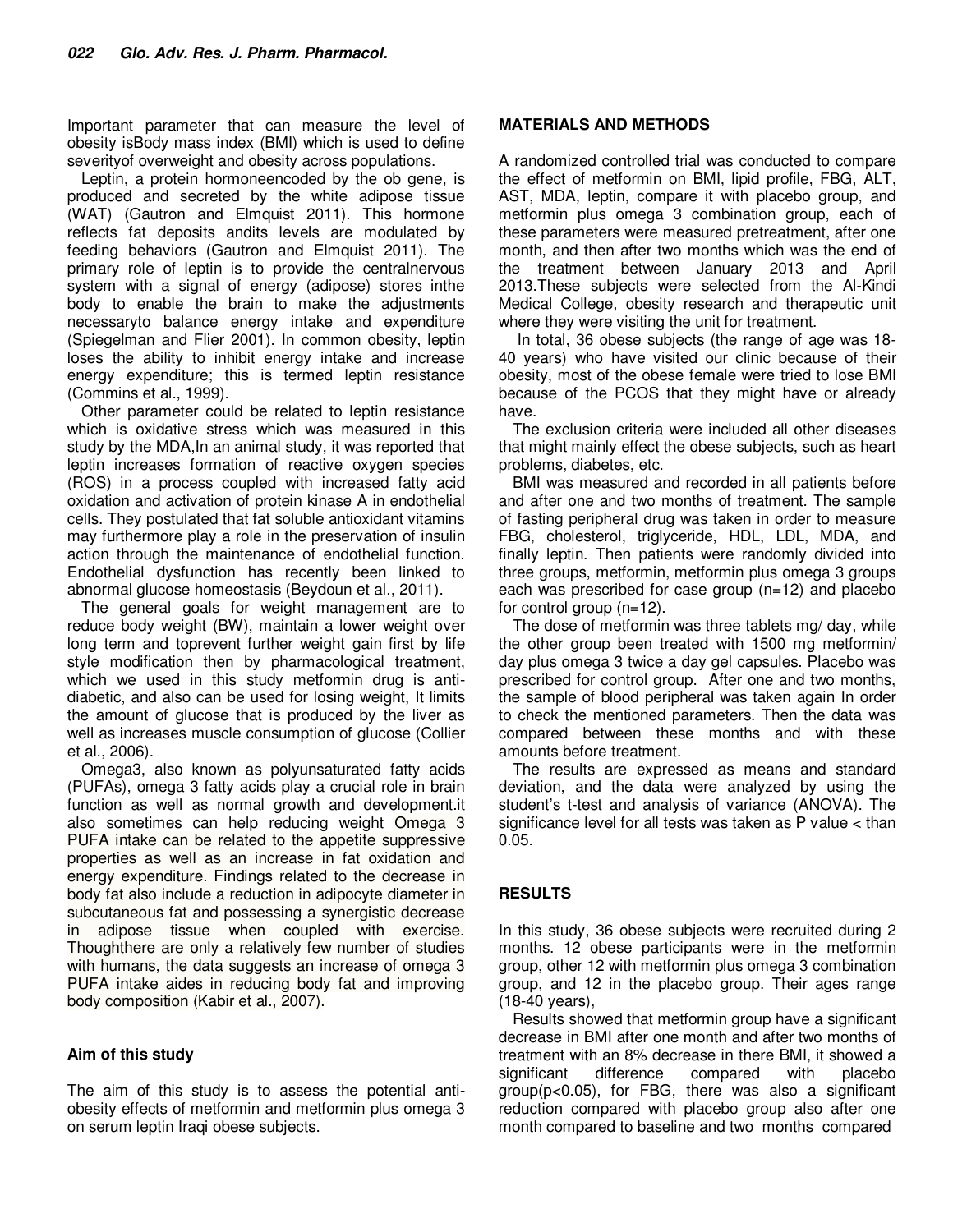Important parameter that can measure the level of obesity isBody mass index (BMI) which is used to define severityof overweight and obesity across populations.

Leptin, a protein hormoneencoded by the ob gene, is produced and secreted by the white adipose tissue (WAT) (Gautron and Elmquist 2011). This hormone reflects fat deposits andits levels are modulated by feeding behaviors (Gautron and Elmquist 2011). The primary role of leptin is to provide the centralnervous system with a signal of energy (adipose) stores inthe body to enable the brain to make the adjustments necessaryto balance energy intake and expenditure (Spiegelman and Flier 2001). In common obesity, leptin loses the ability to inhibit energy intake and increase energy expenditure; this is termed leptin resistance (Commins et al., 1999).

Other parameter could be related to leptin resistance which is oxidative stress which was measured in this study by the MDA,In an animal study, it was reported that leptin increases formation of reactive oxygen species (ROS) in a process coupled with increased fatty acid oxidation and activation of protein kinase A in endothelial cells. They postulated that fat soluble antioxidant vitamins may furthermore play a role in the preservation of insulin action through the maintenance of endothelial function. Endothelial dysfunction has recently been linked to abnormal glucose homeostasis (Beydoun et al., 2011).

The general goals for weight management are to reduce body weight (BW), maintain a lower weight over long term and toprevent further weight gain first by life style modification then by pharmacological treatment, which we used in this study metformin drug is antidiabetic, and also can be used for losing weight, It limits the amount of glucose that is produced by the liver as well as increases muscle consumption of glucose (Collier et al., 2006).

Omega3, also known as polyunsaturated fatty acids (PUFAs), omega 3 fatty acids play a crucial role in brain function as well as normal growth and development.it also sometimes can help reducing weight Omega 3 PUFA intake can be related to the appetite suppressive properties as well as an increase in fat oxidation and energy expenditure. Findings related to the decrease in body fat also include a reduction in adipocyte diameter in subcutaneous fat and possessing a synergistic decrease in adipose tissue when coupled with exercise. Thoughthere are only a relatively few number of studies with humans, the data suggests an increase of omega 3 PUFA intake aides in reducing body fat and improving body composition (Kabir et al., 2007).

#### **Aim of this study**

The aim of this study is to assess the potential antiobesity effects of metformin and metformin plus omega 3 on serum leptin Iraqi obese subjects.

#### **MATERIALS AND METHODS**

A randomized controlled trial was conducted to compare the effect of metformin on BMI, lipid profile, FBG, ALT, AST, MDA, leptin, compare it with placebo group, and metformin plus omega 3 combination group, each of these parameters were measured pretreatment, after one month, and then after two months which was the end of the treatment between January 2013 and April 2013.These subjects were selected from the Al-Kindi Medical College, obesity research and therapeutic unit where they were visiting the unit for treatment.

 In total, 36 obese subjects (the range of age was 18- 40 years) who have visited our clinic because of their obesity, most of the obese female were tried to lose BMI because of the PCOS that they might have or already have.

The exclusion criteria were included all other diseases that might mainly effect the obese subjects, such as heart problems, diabetes, etc.

BMI was measured and recorded in all patients before and after one and two months of treatment. The sample of fasting peripheral drug was taken in order to measure FBG, cholesterol, triglyceride, HDL, LDL, MDA, and finally leptin. Then patients were randomly divided into three groups, metformin, metformin plus omega 3 groups each was prescribed for case group (n=12) and placebo for control group (n=12).

The dose of metformin was three tablets mg/ day, while the other group been treated with 1500 mg metformin/ day plus omega 3 twice a day gel capsules. Placebo was prescribed for control group. After one and two months, the sample of blood peripheral was taken again In order to check the mentioned parameters. Then the data was compared between these months and with these amounts before treatment.

The results are expressed as means and standard deviation, and the data were analyzed by using the student's t-test and analysis of variance (ANOVA). The significance level for all tests was taken as P value < than 0.05.

### **RESULTS**

In this study, 36 obese subjects were recruited during 2 months. 12 obese participants were in the metformin group, other 12 with metformin plus omega 3 combination group, and 12 in the placebo group. Their ages range (18-40 years),

Results showed that metformin group have a significant decrease in BMI after one month and after two months of treatment with an 8% decrease in there BMI, it showed a significant difference compared with placebo group(p<0.05), for FBG, there was also a significant reduction compared with placebo group also after one month compared to baseline and two months compared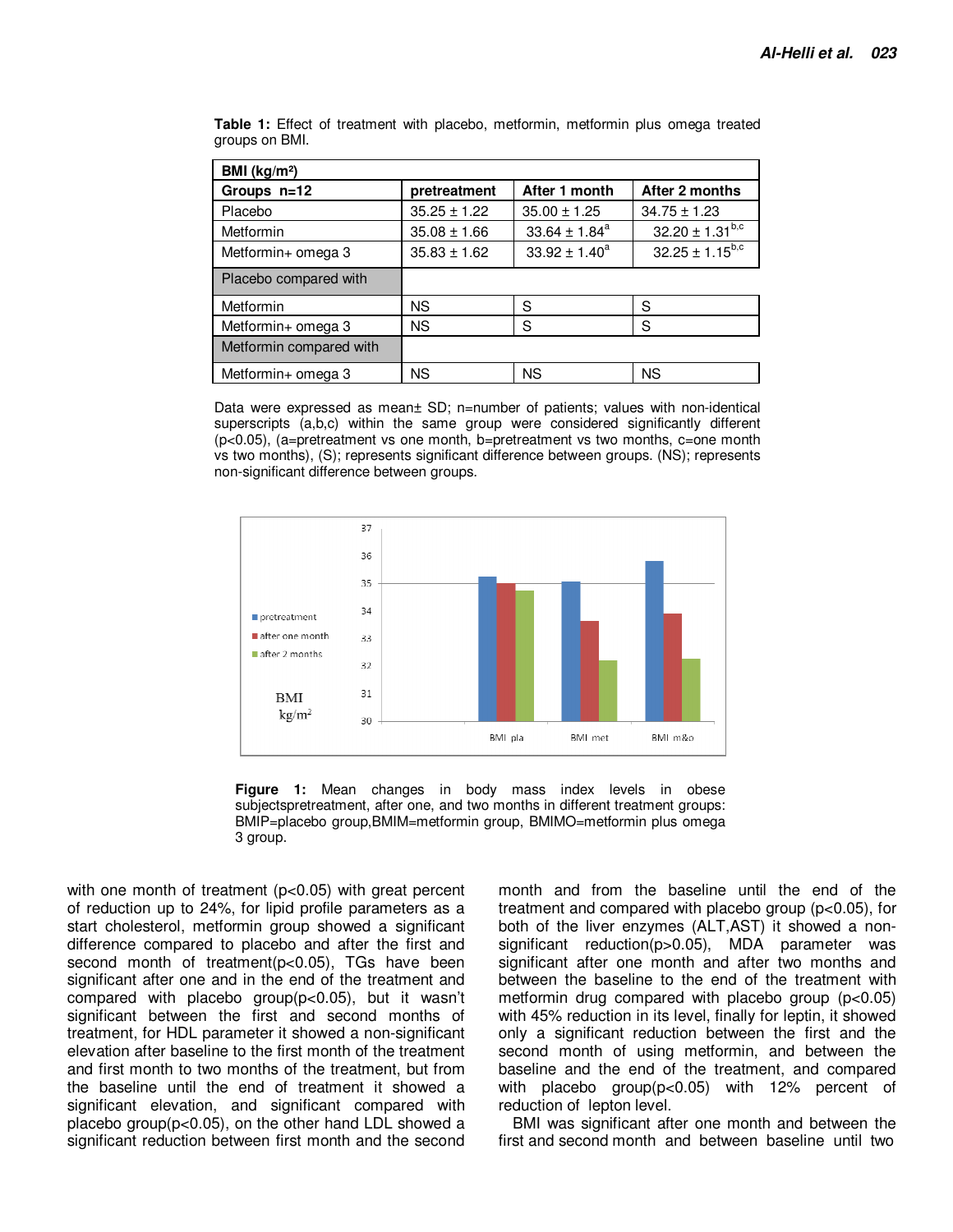| BMI ( $kg/m2$ )         |                  |                    |                        |
|-------------------------|------------------|--------------------|------------------------|
| Groups n=12             | pretreatment     | After 1 month      | After 2 months         |
| Placebo                 | $35.25 \pm 1.22$ | $35.00 \pm 1.25$   | $34.75 \pm 1.23$       |
| <b>Metformin</b>        | $35.08 \pm 1.66$ | $33.64 \pm 1.84^a$ | $32.20 \pm 1.31^{b,c}$ |
| Metformin+ omega 3      | $35.83 \pm 1.62$ | $33.92 \pm 1.40^a$ | $32.25 \pm 1.15^{b,c}$ |
| Placebo compared with   |                  |                    |                        |
| <b>Metformin</b>        | ΝS               | S                  | S                      |
| Metformin+ omega 3      | <b>NS</b>        | S                  | S                      |
| Metformin compared with |                  |                    |                        |
| Metformin+ omega 3      | ΝS               | <b>NS</b>          | <b>NS</b>              |

**Table 1:** Effect of treatment with placebo, metformin, metformin plus omega treated groups on BMI.

Data were expressed as mean± SD; n=number of patients; values with non-identical superscripts (a,b,c) within the same group were considered significantly different  $(p<0.05)$ , (a=pretreatment vs one month, b=pretreatment vs two months, c=one month vs two months), (S); represents significant difference between groups. (NS); represents non-significant difference between groups.



**Figure 1:** Mean changes in body mass index levels in obese subjectspretreatment, after one, and two months in different treatment groups: BMIP=placebo group,BMIM=metformin group, BMIMO=metformin plus omega 3 group.

with one month of treatment (p<0.05) with great percent of reduction up to 24%, for lipid profile parameters as a start cholesterol, metformin group showed a significant difference compared to placebo and after the first and second month of treatment(p<0.05), TGs have been significant after one and in the end of the treatment and compared with placebo group( $p<0.05$ ), but it wasn't significant between the first and second months of treatment, for HDL parameter it showed a non-significant elevation after baseline to the first month of the treatment and first month to two months of the treatment, but from the baseline until the end of treatment it showed a significant elevation, and significant compared with placebo group(p<0.05), on the other hand LDL showed a significant reduction between first month and the second month and from the baseline until the end of the treatment and compared with placebo group (p<0.05), for both of the liver enzymes (ALT,AST) it showed a nonsignificant reduction(p>0.05), MDA parameter was significant after one month and after two months and between the baseline to the end of the treatment with metformin drug compared with placebo group  $(p<0.05)$ with 45% reduction in its level, finally for leptin, it showed only a significant reduction between the first and the second month of using metformin, and between the baseline and the end of the treatment, and compared with placebo group(p<0.05) with 12% percent of reduction of lepton level.

BMI was significant after one month and between the first and second month and between baseline until two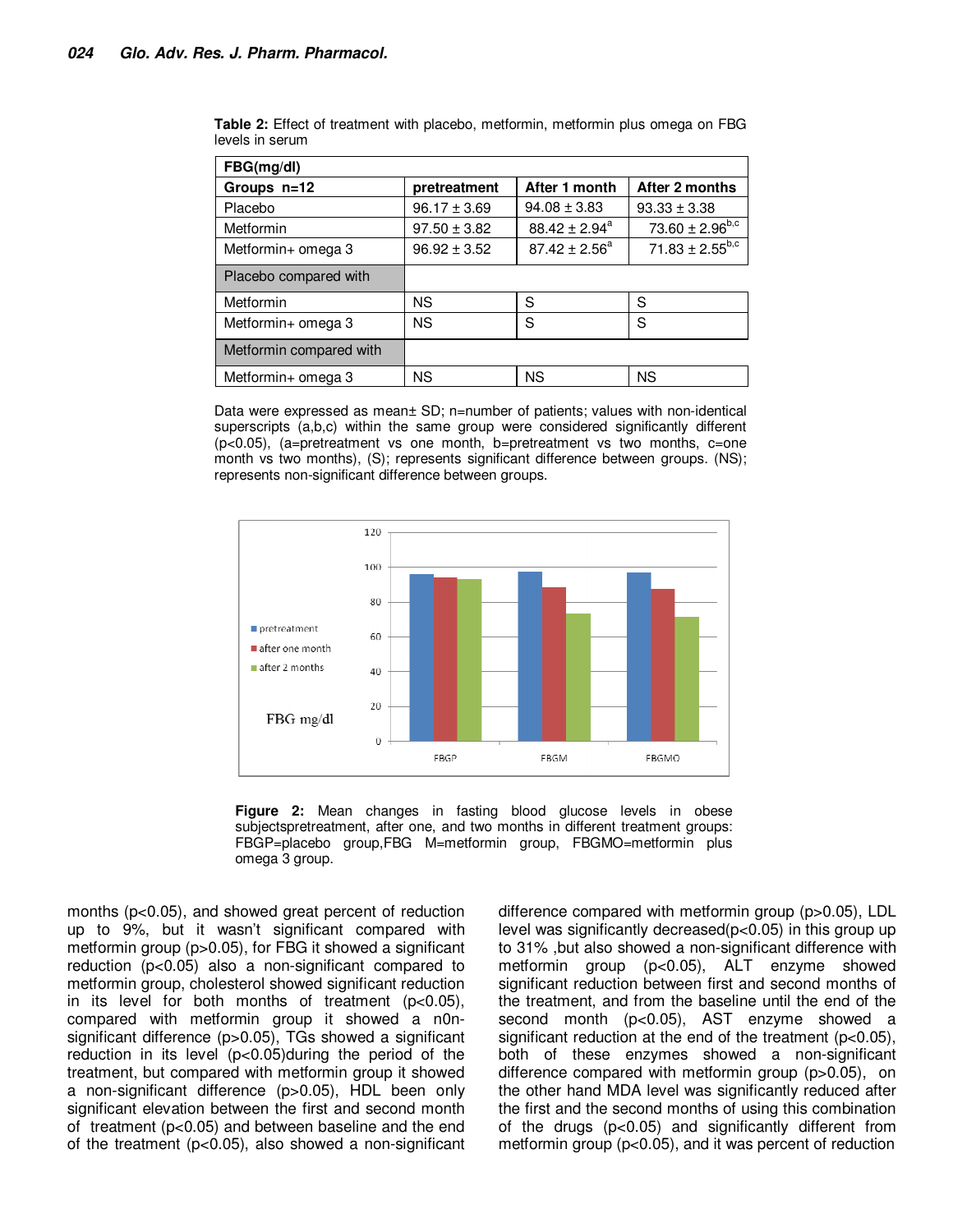| FBG(mg/dl)              |                  |                    |                        |
|-------------------------|------------------|--------------------|------------------------|
| Groups n=12             | pretreatment     | After 1 month      | After 2 months         |
| Placebo                 | $96.17 \pm 3.69$ | $94.08 \pm 3.83$   | $93.33 \pm 3.38$       |
| Metformin               | $97.50 \pm 3.82$ | $88.42 \pm 2.94^a$ | $73.60 \pm 2.96^{b,c}$ |
| Metformin+ omega 3      | $96.92 \pm 3.52$ | $87.42 \pm 2.56^a$ | $71.83 \pm 2.55^{b,c}$ |
| Placebo compared with   |                  |                    |                        |
| Metformin               | <b>NS</b>        | S                  | S                      |
| Metformin+ omega 3      | <b>NS</b>        | S                  | S                      |
| Metformin compared with |                  |                    |                        |
| Metformin+ omega 3      | <b>NS</b>        | <b>NS</b>          | <b>NS</b>              |

**Table 2:** Effect of treatment with placebo, metformin, metformin plus omega on FBG levels in serum

Data were expressed as mean± SD; n=number of patients; values with non-identical superscripts (a,b,c) within the same group were considered significantly different  $(p<0.05)$ , (a=pretreatment vs one month, b=pretreatment vs two months, c=one month vs two months), (S); represents significant difference between groups. (NS); represents non-significant difference between groups.



**Figure 2:** Mean changes in fasting blood glucose levels in obese subjectspretreatment, after one, and two months in different treatment groups: FBGP=placebo group,FBG M=metformin group, FBGMO=metformin plus omega 3 group.

months (p<0.05), and showed great percent of reduction up to 9%, but it wasn't significant compared with metformin group (p>0.05), for FBG it showed a significant reduction (p<0.05) also a non-significant compared to metformin group, cholesterol showed significant reduction in its level for both months of treatment (p<0.05), compared with metformin group it showed a n0nsignificant difference (p>0.05), TGs showed a significant reduction in its level (p<0.05)during the period of the treatment, but compared with metformin group it showed a non-significant difference (p>0.05), HDL been only significant elevation between the first and second month of treatment (p<0.05) and between baseline and the end of the treatment (p<0.05), also showed a non-significant

difference compared with metformin group (p>0.05), LDL level was significantly decreased(p<0.05) in this group up to 31% ,but also showed a non-significant difference with metformin group (p<0.05), ALT enzyme showed significant reduction between first and second months of the treatment, and from the baseline until the end of the second month (p<0.05), AST enzyme showed a significant reduction at the end of the treatment (p<0.05), both of these enzymes showed a non-significant difference compared with metformin group (p>0.05), on the other hand MDA level was significantly reduced after the first and the second months of using this combination of the drugs (p<0.05) and significantly different from metformin group (p<0.05), and it was percent of reduction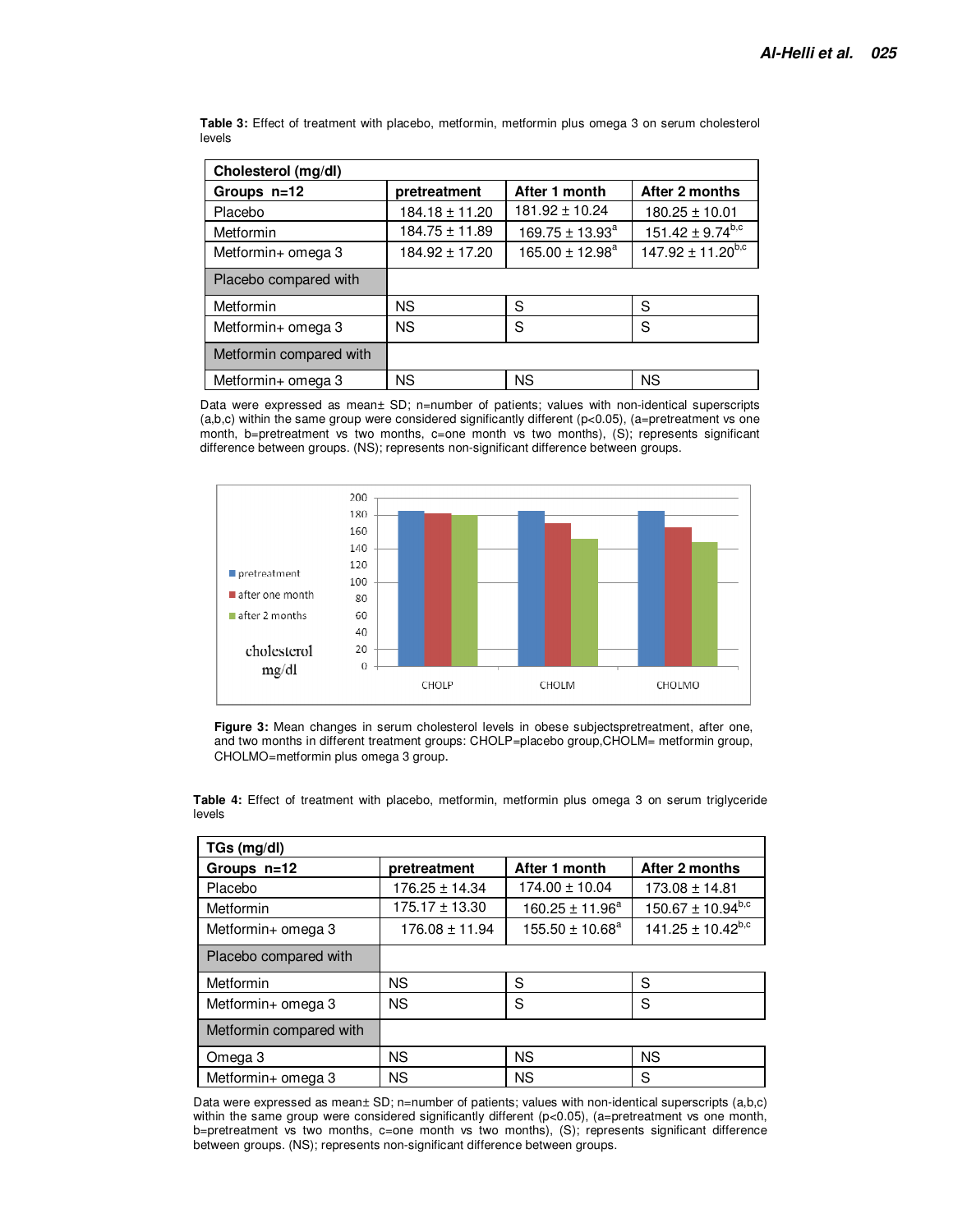| Cholesterol (mg/dl)     |                    |                      |                          |
|-------------------------|--------------------|----------------------|--------------------------|
| Groups n=12             | pretreatment       | After 1 month        | After 2 months           |
| Placebo                 | 184.18 ± 11.20     | $181.92 \pm 10.24$   | $180.25 \pm 10.01$       |
| Metformin               | $184.75 \pm 11.89$ | $169.75 \pm 13.93^a$ | $151.42 \pm 9.74^{b,c}$  |
| Metformin+ omega 3      | $184.92 \pm 17.20$ | $165.00 \pm 12.98^a$ | $147.92 \pm 11.20^{b,c}$ |
| Placebo compared with   |                    |                      |                          |
| Metformin               | <b>NS</b>          | S                    | S                        |
| Metformin+ omega 3      | <b>NS</b>          | S                    | S                        |
| Metformin compared with |                    |                      |                          |
| Metformin+ omega 3      | <b>NS</b>          | <b>NS</b>            | ΝS                       |

**Table 3:** Effect of treatment with placebo, metformin, metformin plus omega 3 on serum cholesterol levels

Data were expressed as mean± SD; n=number of patients; values with non-identical superscripts (a,b,c) within the same group were considered significantly different (p<0.05), (a=pretreatment vs one month, b=pretreatment vs two months, c=one month vs two months), (S); represents significant difference between groups. (NS); represents non-significant difference between groups.



Figure 3: Mean changes in serum cholesterol levels in obese subjectspretreatment, after one, and two months in different treatment groups: CHOLP=placebo group,CHOLM= metformin group, CHOLMO=metformin plus omega 3 group.

| $TGs$ (mg/dl)           |                    |                      |                          |  |  |  |
|-------------------------|--------------------|----------------------|--------------------------|--|--|--|
| Groups n=12             | pretreatment       | After 1 month        | After 2 months           |  |  |  |
| Placebo                 | $176.25 \pm 14.34$ | $174.00 \pm 10.04$   | $173.08 \pm 14.81$       |  |  |  |
| Metformin               | $175.17 \pm 13.30$ | $160.25 \pm 11.96^a$ | $150.67 \pm 10.94^{b,c}$ |  |  |  |
| Metformin+ omega 3      | $176.08 \pm 11.94$ | $155.50 \pm 10.68^a$ | $141.25 \pm 10.42^{b,c}$ |  |  |  |
| Placebo compared with   |                    |                      |                          |  |  |  |
| Metformin               | <b>NS</b>          | S                    | S                        |  |  |  |
| Metformin+ omega 3      | <b>NS</b>          | S                    | S                        |  |  |  |
| Metformin compared with |                    |                      |                          |  |  |  |
| Omega 3                 | <b>NS</b>          | <b>NS</b>            | <b>NS</b>                |  |  |  |
| Metformin+ omega 3      | <b>NS</b>          | <b>NS</b>            | S                        |  |  |  |

**Table 4:** Effect of treatment with placebo, metformin, metformin plus omega 3 on serum triglyceride levels

Data were expressed as mean± SD; n=number of patients; values with non-identical superscripts (a,b,c) within the same group were considered significantly different (p<0.05), (a=pretreatment vs one month, b=pretreatment vs two months, c=one month vs two months), (S); represents significant difference between groups. (NS); represents non-significant difference between groups.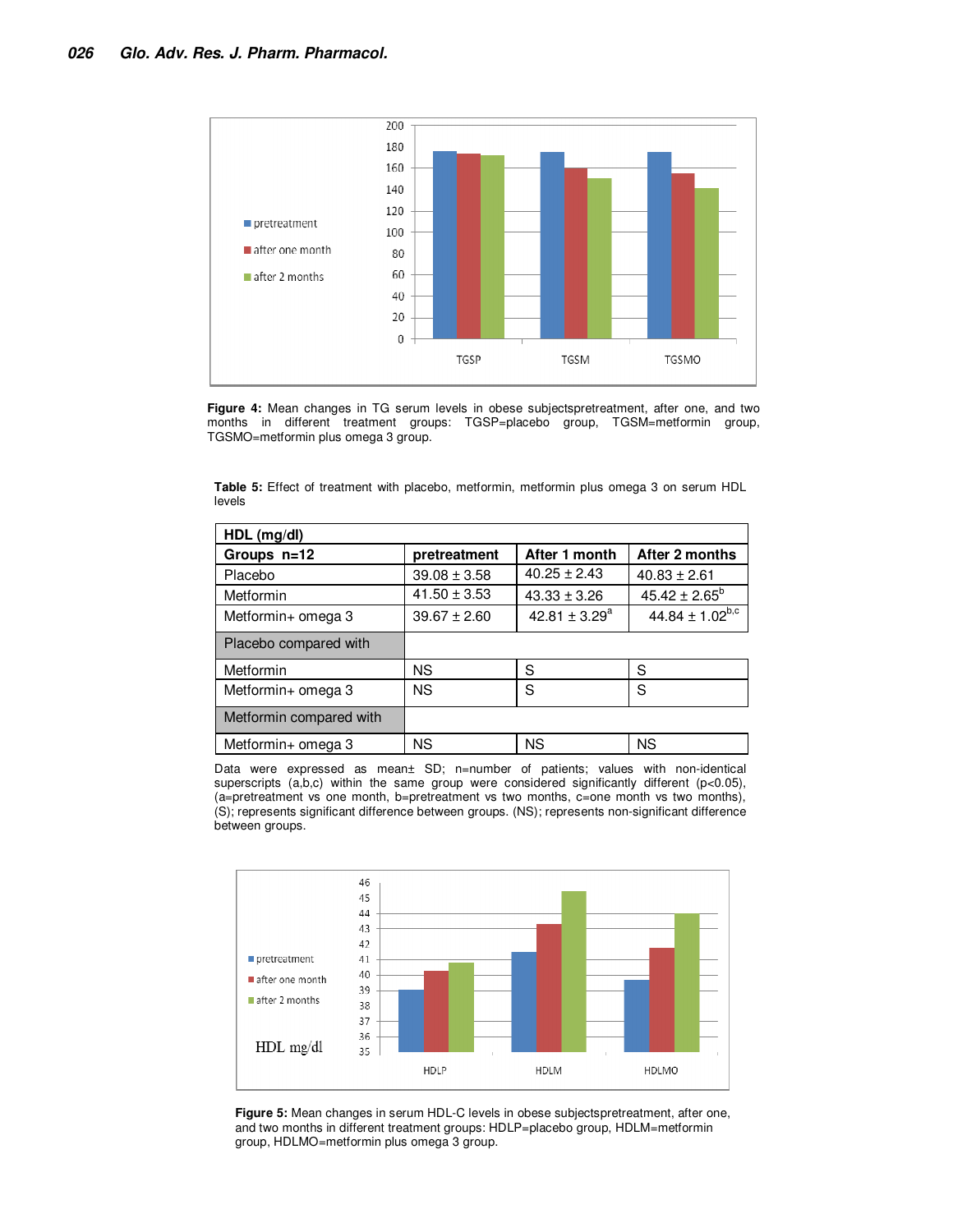

**Figure 4:** Mean changes in TG serum levels in obese subjectspretreatment, after one, and two months in different treatment groups: TGSP=placebo group, TGSM=metformin group, TGSMO=metformin plus omega 3 group.

|        |  |  | <b>Table 5:</b> Effect of treatment with placebo, metformin, metformin plus omega 3 on serum HDL |  |  |  |
|--------|--|--|--------------------------------------------------------------------------------------------------|--|--|--|
| levels |  |  |                                                                                                  |  |  |  |

| $HDL$ (mg/dl)           |                  |                  |                        |
|-------------------------|------------------|------------------|------------------------|
| Groups n=12             | pretreatment     | After 1 month    | After 2 months         |
| Placebo                 | $39.08 \pm 3.58$ | $40.25 \pm 2.43$ | $40.83 \pm 2.61$       |
| Metformin               | $41.50 \pm 3.53$ | $43.33 \pm 3.26$ | $45.42 \pm 2.65^b$     |
| Metformin+ omega 3      | $39.67 \pm 2.60$ | 42.81 ± $3.29^a$ | $44.84 \pm 1.02^{b,c}$ |
| Placebo compared with   |                  |                  |                        |
| Metformin               | <b>NS</b>        | S                | S                      |
| Metformin+ omega 3      | <b>NS</b>        | S                | S                      |
| Metformin compared with |                  |                  |                        |
| Metformin+ omega 3      | <b>NS</b>        | <b>NS</b>        | <b>NS</b>              |

Data were expressed as mean± SD; n=number of patients; values with non-identical superscripts (a,b,c) within the same group were considered significantly different (p<0.05), (a=pretreatment vs one month, b=pretreatment vs two months, c=one month vs two months), (S); represents significant difference between groups. (NS); represents non-significant difference between groups.



**Figure 5:** Mean changes in serum HDL-C levels in obese subjectspretreatment, after one, and two months in different treatment groups: HDLP=placebo group, HDLM=metformin group, HDLMO=metformin plus omega 3 group.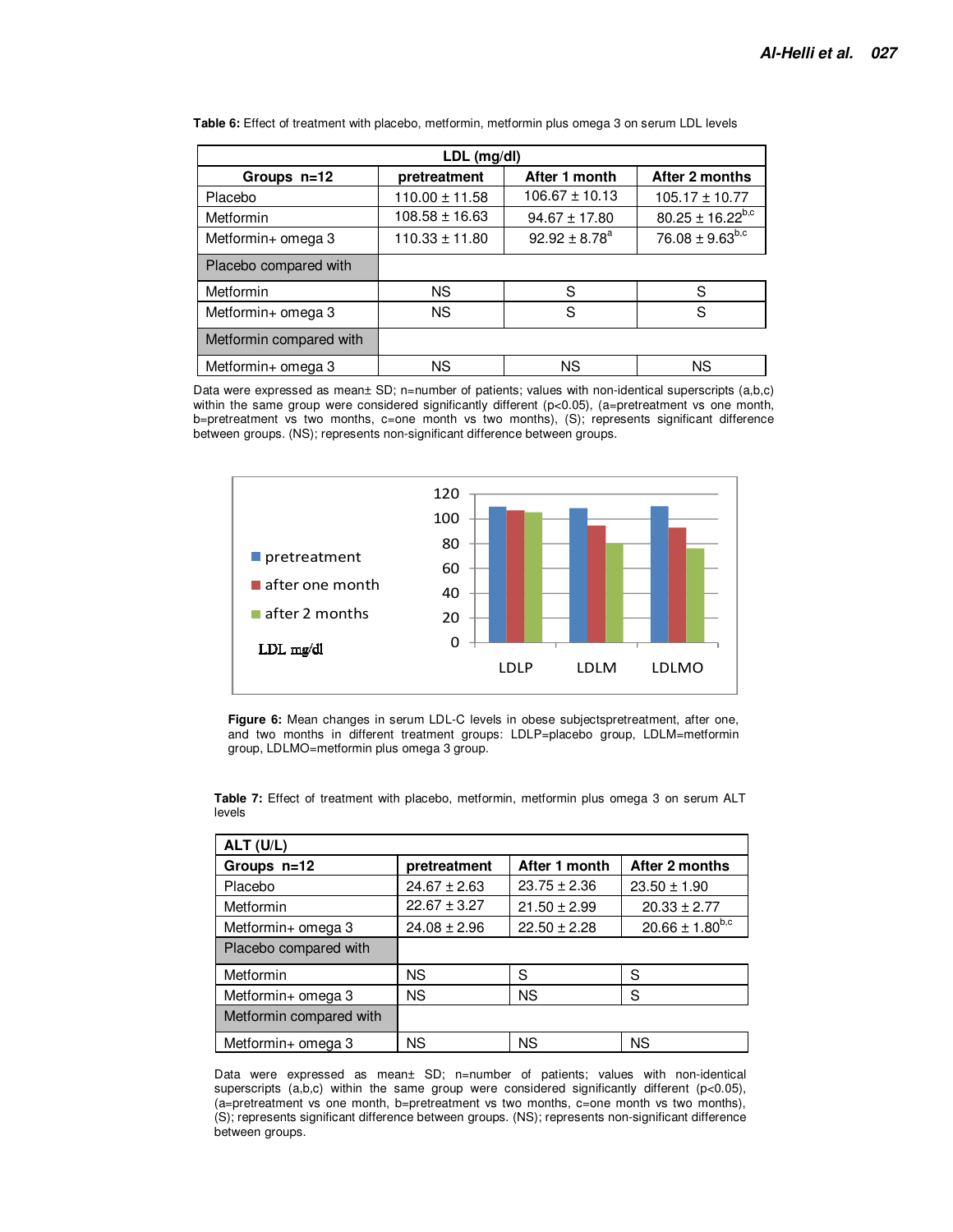| LDL (mg/dl)             |                    |                    |                         |  |  |  |
|-------------------------|--------------------|--------------------|-------------------------|--|--|--|
| Groups n=12             | pretreatment       | After 1 month      | After 2 months          |  |  |  |
| Placebo                 | $110.00 \pm 11.58$ | $106.67 \pm 10.13$ | $105.17 \pm 10.77$      |  |  |  |
| <b>Metformin</b>        | $108.58 \pm 16.63$ | $94.67 \pm 17.80$  | $80.25 \pm 16.22^{b,c}$ |  |  |  |
| Metformin+ omega 3      | $110.33 \pm 11.80$ | $92.92 \pm 8.78^a$ | $76.08 \pm 9.63^{b,c}$  |  |  |  |
| Placebo compared with   |                    |                    |                         |  |  |  |
| Metformin               | ΝS                 | S                  | S                       |  |  |  |
| Metformin+ omega 3      | <b>NS</b>          | S                  | S                       |  |  |  |
| Metformin compared with |                    |                    |                         |  |  |  |
| Metformin+ omega 3      | ΝS                 | ΝS                 | ΝS                      |  |  |  |

**Table 6:** Effect of treatment with placebo, metformin, metformin plus omega 3 on serum LDL levels

Data were expressed as mean± SD; n=number of patients; values with non-identical superscripts (a,b,c) within the same group were considered significantly different (p<0.05), (a=pretreatment vs one month, b=pretreatment vs two months, c=one month vs two months), (S); represents significant difference between groups. (NS); represents non-significant difference between groups.



**Figure 6:** Mean changes in serum LDL-C levels in obese subjectspretreatment, after one, and two months in different treatment groups: LDLP=placebo group, LDLM=metformin group, LDLMO=metformin plus omega 3 group.

| ALT (U/L)               |                  |                  |                        |
|-------------------------|------------------|------------------|------------------------|
| Groups n=12             | pretreatment     | After 1 month    | After 2 months         |
| Placebo                 | $24.67 \pm 2.63$ | $23.75 \pm 2.36$ | $23.50 \pm 1.90$       |
| Metformin               | $22.67 \pm 3.27$ | $21.50 \pm 2.99$ | $20.33 \pm 2.77$       |
| Metformin+ omega 3      | $24.08 \pm 2.96$ | $22.50 \pm 2.28$ | $20.66 \pm 1.80^{b,c}$ |
| Placebo compared with   |                  |                  |                        |
| Metformin               | <b>NS</b>        | S                | S                      |
| Metformin+ omega 3      | <b>NS</b>        | <b>NS</b>        | S                      |
| Metformin compared with |                  |                  |                        |
| Metformin+ omega 3      | <b>NS</b>        | <b>NS</b>        | <b>NS</b>              |

**Table 7:** Effect of treatment with placebo, metformin, metformin plus omega 3 on serum ALT levels

Data were expressed as mean± SD; n=number of patients; values with non-identical superscripts (a,b,c) within the same group were considered significantly different ( $p<0.05$ ), (a=pretreatment vs one month, b=pretreatment vs two months, c=one month vs two months), (S); represents significant difference between groups. (NS); represents non-significant difference between groups.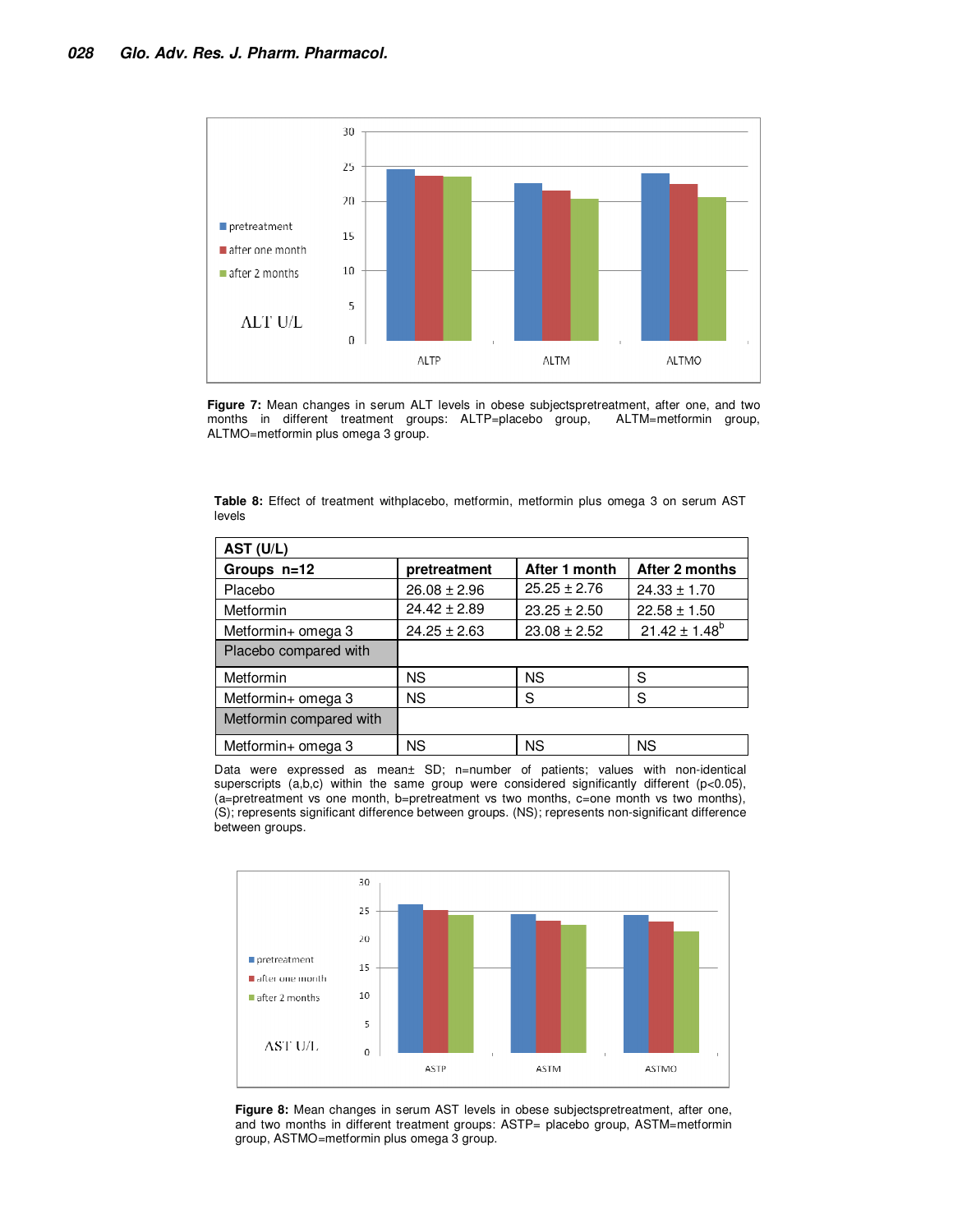

**Figure 7:** Mean changes in serum ALT levels in obese subjectspretreatment, after one, and two months in different treatment groups: ALTP=placebo group, ALTM=metformin group, months in different treatment groups: ALTP=placebo group, ALTMO=metformin plus omega 3 group.

| AST (U/L)               |                  |                  |                    |
|-------------------------|------------------|------------------|--------------------|
| Groups n=12             | pretreatment     | After 1 month    | After 2 months     |
| Placebo                 | $26.08 \pm 2.96$ | $25.25 \pm 2.76$ | $24.33 \pm 1.70$   |
| Metformin               | $24.42 \pm 2.89$ | $23.25 \pm 2.50$ | $22.58 \pm 1.50$   |
| Metformin+ omega 3      | $24.25 \pm 2.63$ | $23.08 \pm 2.52$ | $21.42 \pm 1.48^b$ |
| Placebo compared with   |                  |                  |                    |
| Metformin               | ΝS               | <b>NS</b>        | S                  |
| Metformin+ omega 3      | <b>NS</b>        | S                | S                  |
| Metformin compared with |                  |                  |                    |
| Metformin+ omega 3      | ΝS               | <b>NS</b>        | <b>NS</b>          |

**Table 8:** Effect of treatment withplacebo, metformin, metformin plus omega 3 on serum AST levels

Data were expressed as mean± SD; n=number of patients; values with non-identical superscripts  $(a,b,c)$  within the same group were considered significantly different (p<0.05), (a=pretreatment vs one month, b=pretreatment vs two months, c=one month vs two months), (S); represents significant difference between groups. (NS); represents non-significant difference between groups.



**Figure 8:** Mean changes in serum AST levels in obese subjectspretreatment, after one, and two months in different treatment groups: ASTP= placebo group, ASTM=metformin group, ASTMO=metformin plus omega 3 group.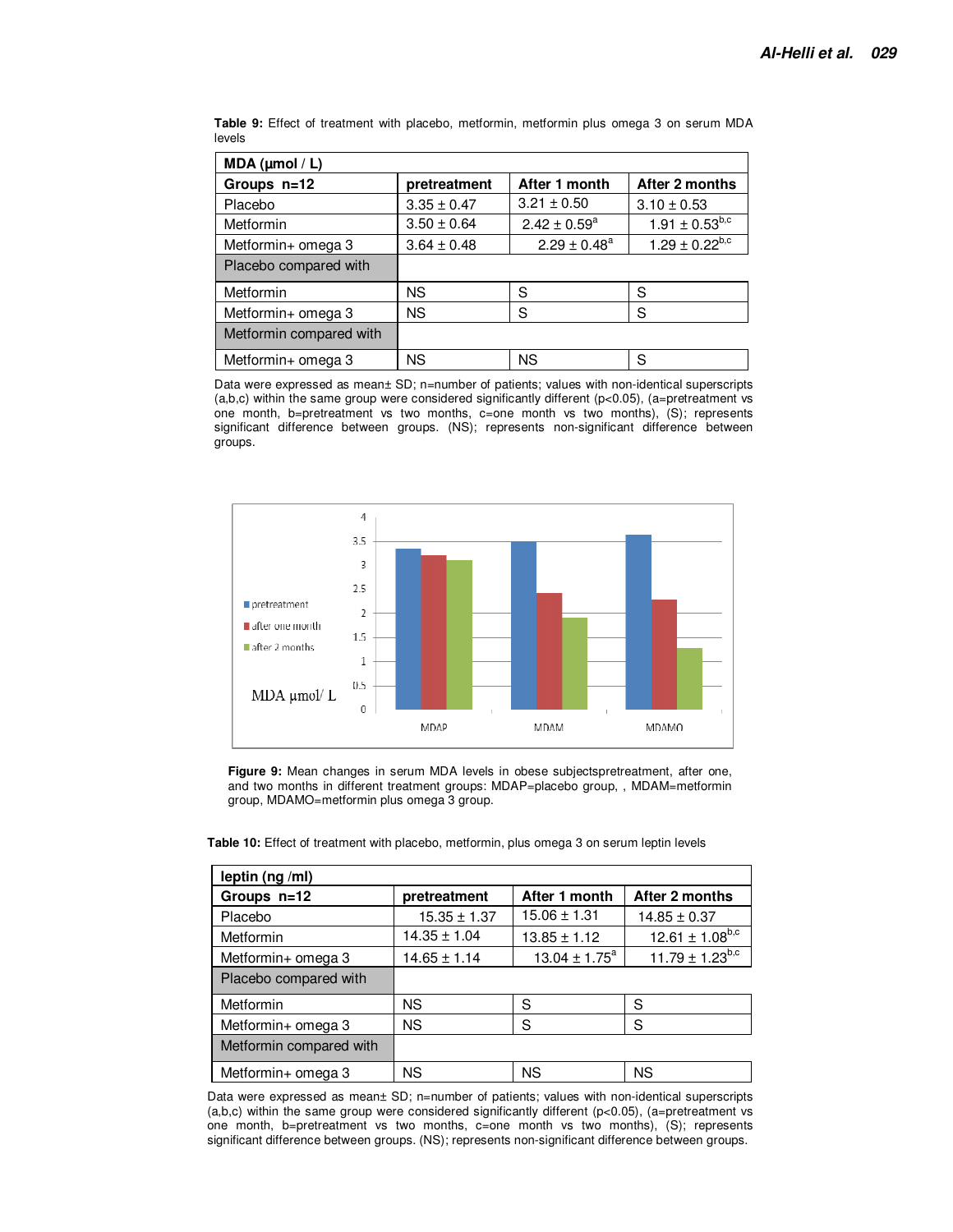| MDA ( $\mu$ mol / L)    |                 |                   |                       |
|-------------------------|-----------------|-------------------|-----------------------|
| Groups n=12             | pretreatment    | After 1 month     | After 2 months        |
| Placebo                 | $3.35 \pm 0.47$ | $3.21 \pm 0.50$   | $3.10 \pm 0.53$       |
| Metformin               | $3.50 \pm 0.64$ | $2.42 \pm 0.59^a$ | $1.91 \pm 0.53^{b,c}$ |
| Metformin+ omega 3      | $3.64 \pm 0.48$ | $2.29 \pm 0.48^a$ | $1.29 \pm 0.22^{b,c}$ |
| Placebo compared with   |                 |                   |                       |
| Metformin               | ΝS              | S                 | S                     |
| Metformin+ omega 3      | <b>NS</b>       | S                 | S                     |
| Metformin compared with |                 |                   |                       |
| Metformin+ omega 3      | <b>NS</b>       | <b>NS</b>         | S                     |

**Table 9:** Effect of treatment with placebo, metformin, metformin plus omega 3 on serum MDA levels

Data were expressed as mean± SD; n=number of patients; values with non-identical superscripts  $(a,b,c)$  within the same group were considered significantly different  $(p<0.05)$ ,  $(a=$ pretreatment vs one month, b=pretreatment vs two months, c=one month vs two months), (S); represents significant difference between groups. (NS); represents non-significant difference between groups.



**Figure 9:** Mean changes in serum MDA levels in obese subjectspretreatment, after one, and two months in different treatment groups: MDAP=placebo group, , MDAM=metformin group, MDAMO=metformin plus omega 3 group.

| leptin (ng /ml)         |                     |                          |                        |  |  |  |
|-------------------------|---------------------|--------------------------|------------------------|--|--|--|
| Groups n=12             | pretreatment        | After 1 month            | After 2 months         |  |  |  |
| Placebo                 | $15.35 \pm 1.37$    | $15.06 \pm 1.31$         | $14.85 \pm 0.37$       |  |  |  |
| Metformin               | $14.35 \pm 1.04$    | $13.85 \pm 1.12$         | $12.61 \pm 1.08^{b,c}$ |  |  |  |
| Metformin+ omega 3      | $14.65 \pm 1.14$    | $13.04 \pm 1.75^{\circ}$ | $11.79 \pm 1.23^{b,c}$ |  |  |  |
| Placebo compared with   |                     |                          |                        |  |  |  |
| Metformin               | <b>NS</b>           | S                        | S                      |  |  |  |
| Metformin+ omega 3      | <b>NS</b><br>S<br>S |                          |                        |  |  |  |
| Metformin compared with |                     |                          |                        |  |  |  |
| Metformin+ omega 3      | NS                  | <b>NS</b>                | <b>NS</b>              |  |  |  |

**Table 10:** Effect of treatment with placebo, metformin, plus omega 3 on serum leptin levels

Data were expressed as mean± SD; n=number of patients; values with non-identical superscripts  $(a,b,c)$  within the same group were considered significantly different  $(p<0.05)$ ,  $(a=$ pretreatment vs one month, b=pretreatment vs two months, c=one month vs two months), (S); represents significant difference between groups. (NS); represents non-significant difference between groups.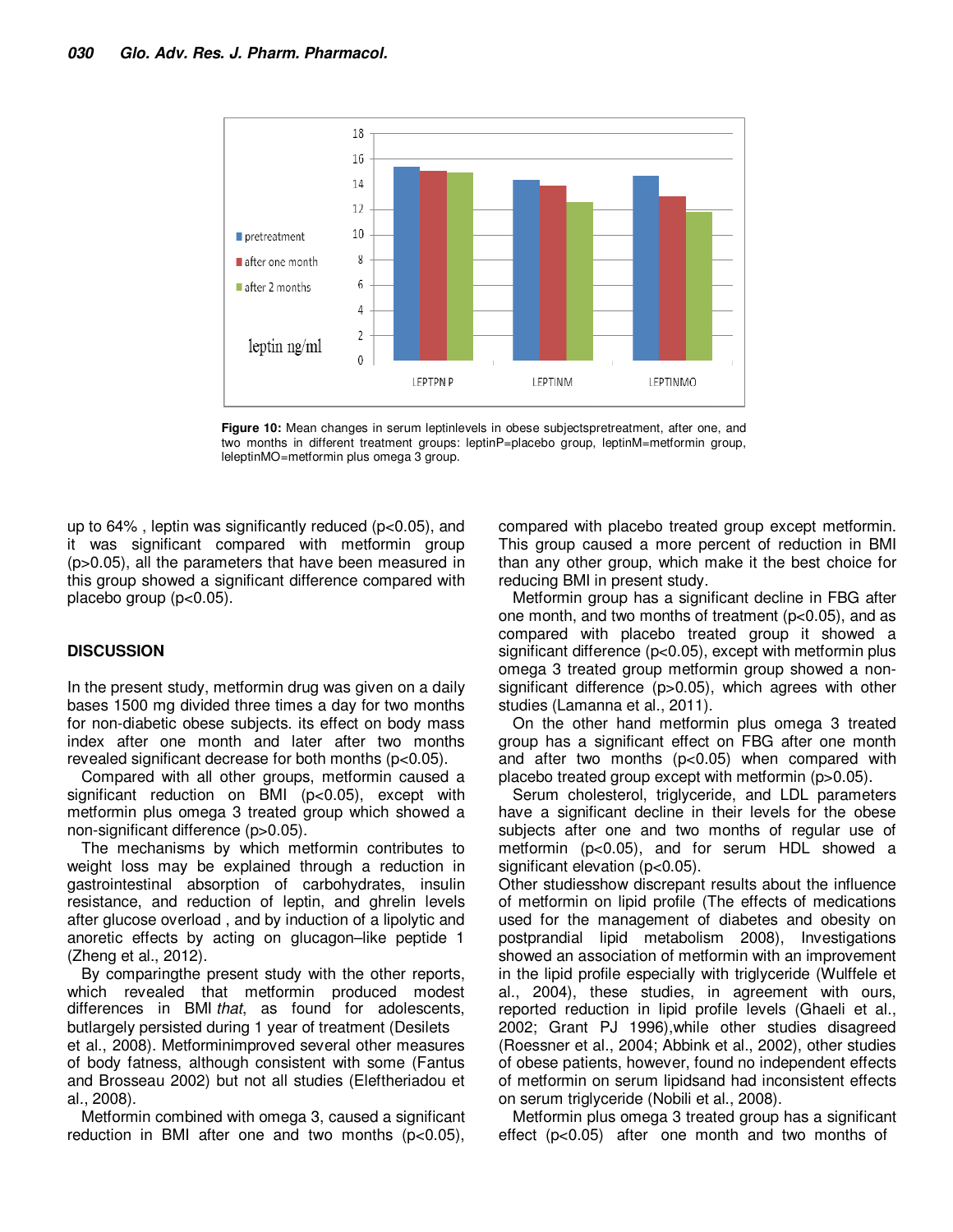

**Figure 10:** Mean changes in serum leptinlevels in obese subjectspretreatment, after one, and two months in different treatment groups: leptinP=placebo group, leptinM=metformin group, leleptinMO=metformin plus omega 3 group.

up to 64% , leptin was significantly reduced (p<0.05), and it was significant compared with metformin group (p>0.05), all the parameters that have been measured in this group showed a significant difference compared with placebo group (p<0.05).

#### **DISCUSSION**

In the present study, metformin drug was given on a daily bases 1500 mg divided three times a day for two months for non-diabetic obese subjects. its effect on body mass index after one month and later after two months revealed significant decrease for both months (p<0.05).

Compared with all other groups, metformin caused a significant reduction on BMI (p<0.05), except with metformin plus omega 3 treated group which showed a non-significant difference (p>0.05).

The mechanisms by which metformin contributes to weight loss may be explained through a reduction in gastrointestinal absorption of carbohydrates, insulin resistance, and reduction of leptin, and ghrelin levels after glucose overload , and by induction of a lipolytic and anoretic effects by acting on glucagon–like peptide 1 (Zheng et al., 2012).

By comparingthe present study with the other reports, which revealed that metformin produced modest differences in BMI that, as found for adolescents, butlargely persisted during 1 year of treatment (Desilets et al., 2008). Metforminimproved several other measures of body fatness, although consistent with some (Fantus and Brosseau 2002) but not all studies (Eleftheriadou et al., 2008).

Metformin combined with omega 3, caused a significant reduction in BMI after one and two months (p<0.05), compared with placebo treated group except metformin. This group caused a more percent of reduction in BMI than any other group, which make it the best choice for reducing BMI in present study.

Metformin group has a significant decline in FBG after one month, and two months of treatment (p<0.05), and as compared with placebo treated group it showed a significant difference (p<0.05), except with metformin plus omega 3 treated group metformin group showed a nonsignificant difference (p>0.05), which agrees with other studies (Lamanna et al., 2011).

On the other hand metformin plus omega 3 treated group has a significant effect on FBG after one month and after two months (p<0.05) when compared with placebo treated group except with metformin (p>0.05).

Serum cholesterol, triglyceride, and LDL parameters have a significant decline in their levels for the obese subjects after one and two months of regular use of metformin (p<0.05), and for serum HDL showed a significant elevation (p<0.05).

Other studiesshow discrepant results about the influence of metformin on lipid profile (The effects of medications used for the management of diabetes and obesity on postprandial lipid metabolism 2008), Investigations showed an association of metformin with an improvement in the lipid profile especially with triglyceride (Wulffele et al., 2004), these studies, in agreement with ours, reported reduction in lipid profile levels (Ghaeli et al., 2002; Grant PJ 1996),while other studies disagreed (Roessner et al., 2004; Abbink et al., 2002), other studies of obese patients, however, found no independent effects of metformin on serum lipidsand had inconsistent effects on serum triglyceride (Nobili et al., 2008).

Metformin plus omega 3 treated group has a significant effect (p<0.05) after one month and two months of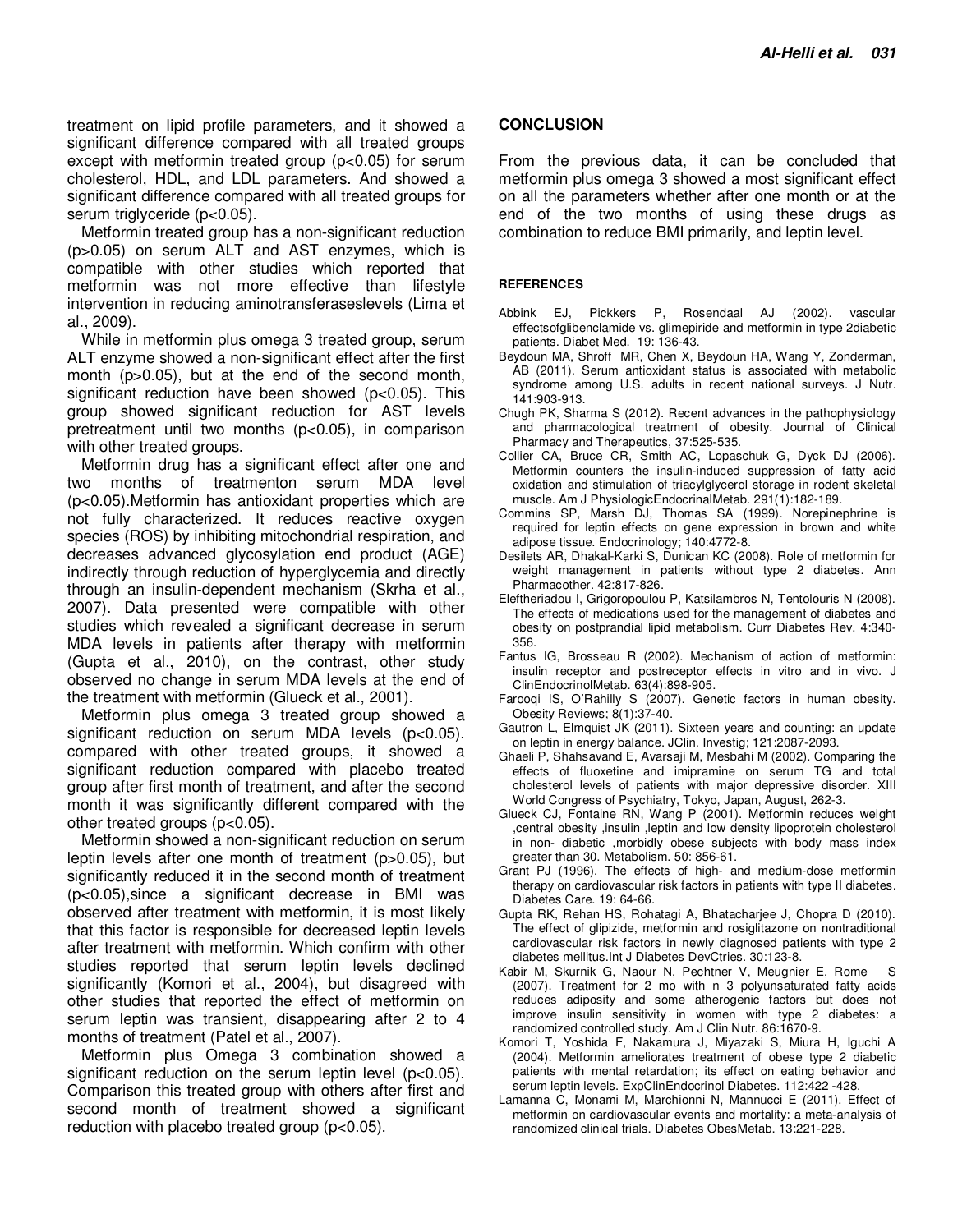treatment on lipid profile parameters, and it showed a significant difference compared with all treated groups except with metformin treated group (p<0.05) for serum cholesterol, HDL, and LDL parameters. And showed a significant difference compared with all treated groups for serum triglyceride (p<0.05).

Metformin treated group has a non-significant reduction (p>0.05) on serum ALT and AST enzymes, which is compatible with other studies which reported that metformin was not more effective than lifestyle intervention in reducing aminotransferaseslevels (Lima et al., 2009).

While in metformin plus omega 3 treated group, serum ALT enzyme showed a non-significant effect after the first month (p>0.05), but at the end of the second month, significant reduction have been showed (p<0.05). This group showed significant reduction for AST levels pretreatment until two months (p<0.05), in comparison with other treated groups.

Metformin drug has a significant effect after one and two months of treatmenton serum MDA level (p<0.05).Metformin has antioxidant properties which are not fully characterized. It reduces reactive oxygen species (ROS) by inhibiting mitochondrial respiration, and decreases advanced glycosylation end product (AGE) indirectly through reduction of hyperglycemia and directly through an insulin-dependent mechanism (Skrha et al., 2007). Data presented were compatible with other studies which revealed a significant decrease in serum MDA levels in patients after therapy with metformin (Gupta et al., 2010), on the contrast, other study observed no change in serum MDA levels at the end of the treatment with metformin (Glueck et al., 2001).

Metformin plus omega 3 treated group showed a significant reduction on serum MDA levels (p<0.05). compared with other treated groups, it showed a significant reduction compared with placebo treated group after first month of treatment, and after the second month it was significantly different compared with the other treated groups (p<0.05).

Metformin showed a non-significant reduction on serum leptin levels after one month of treatment (p>0.05), but significantly reduced it in the second month of treatment (p<0.05),since a significant decrease in BMI was observed after treatment with metformin, it is most likely that this factor is responsible for decreased leptin levels after treatment with metformin. Which confirm with other studies reported that serum leptin levels declined significantly (Komori et al., 2004), but disagreed with other studies that reported the effect of metformin on serum leptin was transient, disappearing after 2 to 4 months of treatment (Patel et al., 2007).

Metformin plus Omega 3 combination showed a significant reduction on the serum leptin level (p<0.05). Comparison this treated group with others after first and second month of treatment showed a significant reduction with placebo treated group (p<0.05).

#### **CONCLUSION**

From the previous data, it can be concluded that metformin plus omega 3 showed a most significant effect on all the parameters whether after one month or at the end of the two months of using these drugs as combination to reduce BMI primarily, and leptin level.

#### **REFERENCES**

- Abbink EJ, Pickkers P, Rosendaal AJ (2002). vascular effectsofglibenclamide vs. glimepiride and metformin in type 2diabetic patients. Diabet Med. 19: 136-43.
- Beydoun MA, Shroff MR, Chen X, Beydoun HA, Wang Y, Zonderman, AB (2011). Serum antioxidant status is associated with metabolic syndrome among U.S. adults in recent national surveys. J Nutr. 141:903-913.
- Chugh PK, Sharma S (2012). Recent advances in the pathophysiology and pharmacological treatment of obesity. Journal of Clinical Pharmacy and Therapeutics, 37:525-535.
- Collier CA, Bruce CR, Smith AC, Lopaschuk G, Dyck DJ (2006). Metformin counters the insulin-induced suppression of fatty acid oxidation and stimulation of triacylglycerol storage in rodent skeletal muscle. Am J PhysiologicEndocrinalMetab. 291(1):182-189.
- Commins SP, Marsh DJ, Thomas SA (1999). Norepinephrine is required for leptin effects on gene expression in brown and white adipose tissue. Endocrinology; 140:4772-8.
- Desilets AR, Dhakal-Karki S, Dunican KC (2008). Role of metformin for weight management in patients without type 2 diabetes. Ann Pharmacother. 42:817-826.
- Eleftheriadou I, Grigoropoulou P, Katsilambros N, Tentolouris N (2008). The effects of medications used for the management of diabetes and obesity on postprandial lipid metabolism. Curr Diabetes Rev. 4:340- 356.
- Fantus IG, Brosseau R (2002). Mechanism of action of metformin: insulin receptor and postreceptor effects in vitro and in vivo. J ClinEndocrinolMetab. 63(4):898-905.
- Farooqi IS, O'Rahilly S (2007). Genetic factors in human obesity. Obesity Reviews; 8(1):37-40.
- Gautron L, Elmquist JK (2011). Sixteen years and counting: an update on leptin in energy balance. JClin. Investig; 121:2087-2093.
- Ghaeli P, Shahsavand E, Avarsaji M, Mesbahi M (2002). Comparing the effects of fluoxetine and imipramine on serum TG and total cholesterol levels of patients with major depressive disorder. XIII World Congress of Psychiatry, Tokyo, Japan, August, 262-3.
- Glueck CJ, Fontaine RN, Wang P (2001). Metformin reduces weight ,central obesity ,insulin ,leptin and low density lipoprotein cholesterol in non- diabetic ,morbidly obese subjects with body mass index greater than 30. Metabolism. 50: 856-61.
- Grant PJ (1996). The effects of high- and medium-dose metformin therapy on cardiovascular risk factors in patients with type II diabetes. Diabetes Care. 19: 64-66.
- Gupta RK, Rehan HS, Rohatagi A, Bhatacharjee J, Chopra D (2010). The effect of glipizide, metformin and rosiglitazone on nontraditional cardiovascular risk factors in newly diagnosed patients with type 2 diabetes mellitus.Int J Diabetes DevCtries. 30:123-8.
- Kabir M, Skurnik G, Naour N, Pechtner V, Meugnier E, Rome S (2007). Treatment for 2 mo with n 3 polyunsaturated fatty acids reduces adiposity and some atherogenic factors but does not improve insulin sensitivity in women with type 2 diabetes: a randomized controlled study. Am J Clin Nutr. 86:1670-9.
- Komori T, Yoshida F, Nakamura J, Miyazaki S, Miura H, Iguchi A (2004). Metformin ameliorates treatment of obese type 2 diabetic patients with mental retardation; its effect on eating behavior and serum leptin levels. ExpClinEndocrinol Diabetes. 112:422 -428.
- Lamanna C, Monami M, Marchionni N, Mannucci E (2011). Effect of metformin on cardiovascular events and mortality: a meta-analysis of randomized clinical trials. Diabetes ObesMetab. 13:221-228.